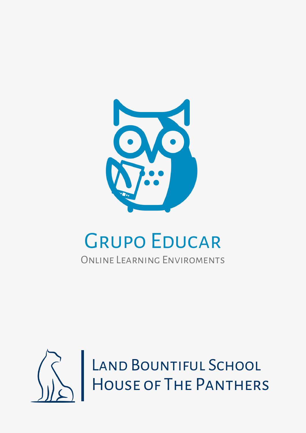

## Grupo Educar

## Online Learning Enviroments

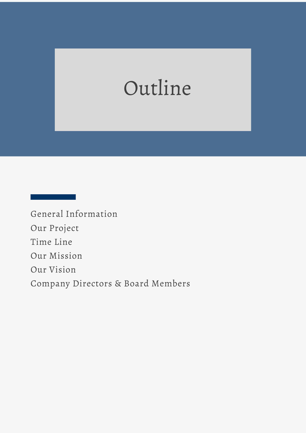# Outline

General Information Our Project Time Line Our Mission Our Vision Company Directors & Board Members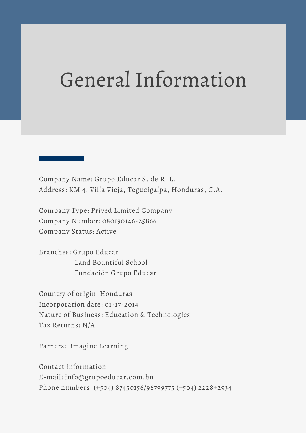## General Information

Company Name: Grupo Educar S. de R. L. Address: KM 4, Villa Vieja, Tegucigalpa, Honduras, C.A.

Company Type: Prived Limited Company Company Number: 080190146-25866 Company Status: Active

Branches: Grupo Educar Land Bountiful School Fundación Grupo Educar

Country of origin: Honduras Incorporation date: 01-17-2014 Nature of Business: Education & Technologies Tax Returns: N/A

Parners: Imagine Learning

Contact information E-mail: info@grupoeducar.com.hn Phone numbers: (+504) 87450156/96799775 (+504) 2228+2934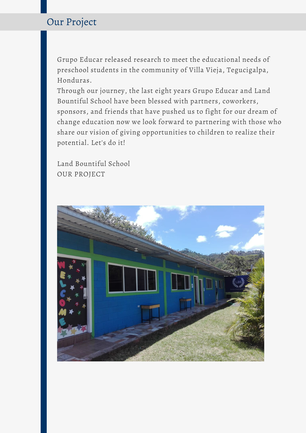### Our Project

Grupo Educar released research to meet the educational needs of preschool students in the community of Villa Vieja, Tegucigalpa, Honduras.

Through our journey, the last eight years Grupo Educar and Land Bountiful School have been blessed with partners, coworkers, sponsors, and friends that have pushed us to fight for our dream of change education now we look forward to partnering with those who share our vision of giving opportunities to children to realize their potential. Let's do it!

Land Bountiful School OUR PROJECT

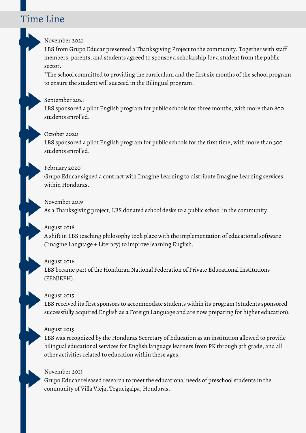### Time Line

#### November 2021

LBS from Grupo Educar presented a Thanksgiving Project to the community. Together with staff members, parents, and students agreed to sponsor a scholarship for a student from the public sector.

\*The school committed to providing the curriculum and the first six months of the school program to ensure the student will succeed in the Bilingual program.

#### September 2021

LBS sponsored a pilot English program for public schools for three months, with more than 800 students enrolled.

#### October 2020

LBS sponsored a pilot English program for public schools for the first time, with more than 300 students enrolled.

#### February 2020

Grupo Educar signed a contract with Imagine Learning to distribute Imagine Learning services within Honduras.

#### November 2019

As a Thanksgiving project, LBS donated school desks to a public school in the community.

#### August 2018

A shift in LBS teaching philosophy took place with the implementation of educational software (Imagine Language + Literacy) to improve learning English.

#### August 2016

LBS became part of the Honduran National Federation of Private Educational Institutions (FENIEPH).

#### August 2015

LBS received its first sponsors to accommodate students within its program (Students sponsored successfully acquired English as a Foreign Language and are now preparing for higher education).

#### August 2015

LBS was recognized by the Honduras Secretary of Education as an institution allowed to provide bilingual educational services for English language learners from PK through 9th grade, and all other activities related to education within these ages.

#### November 2013

Grupo Educar released research to meet the educational needs of preschool students in the community of Villa Vieja, Tegucigalpa, Honduras.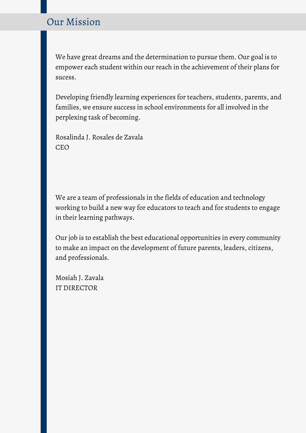## Our Mission

We have great dreams and the determination to pursue them. Our goal is to empower each student within our reach in the achievement of their plans for sucess.

Developing friendly learning experiences for teachers, students, parents, and families, we ensure success in school environments for all involved in the perplexing task of becoming.

Rosalinda J. Rosales de Zavala CEO

We are a team of professionals in the fields of education and technology working to build a new way for educators to teach and for students to engage in their learning pathways.

Our job is to establish the best educational opportunities in every community to make an impact on the development of future parents, leaders, citizens, and professionals.

Mosíah J. Zavala IT DIRECTOR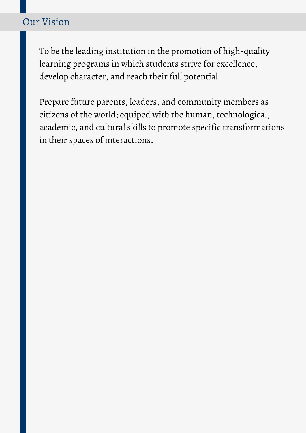## Our Vision

To be the leading institution in the promotion of high-quality learning programs in which students strive for excellence, develop character, and reach their full potential

Prepare future parents, leaders, and community members as citizens of the world; equiped with the human, technological, academic, and cultural skills to promote specific transformations in their spaces of interactions.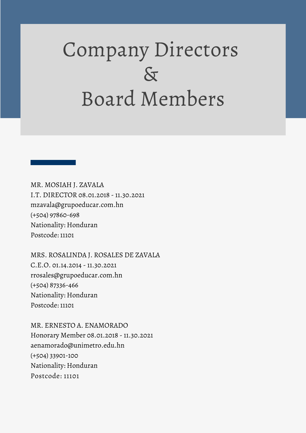# Company Directors  $\delta$ Board Members

MR. MOSIAH J. ZAVALA I.T. DIRECTOR 08.01.2018 - 11.30.2021 mzavala@grupoeducar.com.hn (+504) 97860-698 Nationality: Honduran Postcode: 11101

MRS. ROSALINDA J. ROSALES DE ZAVALA C.E.O. 01.14.2014 - 11.30.2021 rrosales@grupoeducar.com.hn (+504) 87336-466 Nationality: Honduran Postcode: 11101

MR. ERNESTO A. ENAMORADO Honorary Member 08.01.2018 - 11.30.2021 aenamorado@unimetro.edu.hn (+504) 33901-100 Nationality: Honduran Postcode: 11101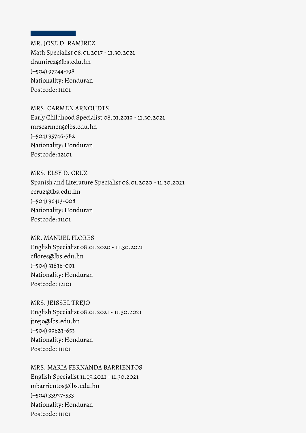MR. JOSE D. RAMÍREZ Math Specialist 08.01.2017 - 11.30.2021 dramirez@lbs.edu.hn (+504) 97244-198 Nationality: Honduran Postcode: 11101

#### MRS. CARMEN ARNOUDTS

Early Childhood Specialist 08.01.2019 - 11.30.2021 mrscarmen@lbs.edu.hn (+504) 95746-782 Nationality: Honduran Postcode: 12101

#### MRS. ELSY D. CRUZ

Spanish and Literature Specialist 08.01.2020 - 11.30.2021 ecruz@lbs.edu.hn (+504) 96413-008 Nationality: Honduran Postcode: 11101

#### MR. MANUEL FLORES

English Specialist 08.01.2020 - 11.30.2021 cflores@lbs.edu.hn (+504) 31836-001 Nationality: Honduran Postcode: 12101

#### MRS. JEISSEL TREJO

English Specialist 08.01.2021 - 11.30.2021 jtrejo@lbs.edu.hn (+504) 99623-653 Nationality: Honduran Postcode: 11101

MRS. MARIA FERNANDA BARRIENTOS English Specialist 11.15.2021 - 11.30.2021 mbarrientos@lbs.edu.hn (+504) 33927-533 Nationality: Honduran Postcode: 11101